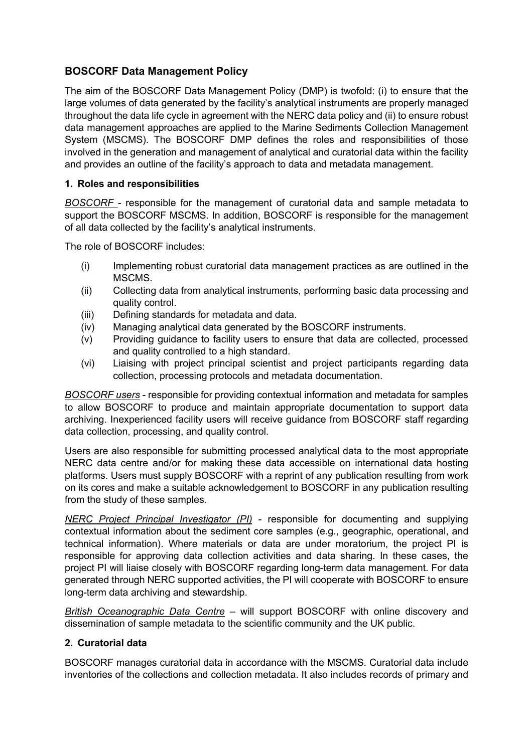# **BOSCORF Data Management Policy**

The aim of the BOSCORF Data Management Policy (DMP) is twofold: (i) to ensure that the large volumes of data generated by the facility's analytical instruments are properly managed throughout the data life cycle in agreement with the NERC data policy and (ii) to ensure robust data management approaches are applied to the Marine Sediments Collection Management System (MSCMS). The BOSCORF DMP defines the roles and responsibilities of those involved in the generation and management of analytical and curatorial data within the facility and provides an outline of the facility's approach to data and metadata management.

### **1. Roles and responsibilities**

*BOSCORF* - responsible for the management of curatorial data and sample metadata to support the BOSCORF MSCMS. In addition, BOSCORF is responsible for the management of all data collected by the facility's analytical instruments.

The role of BOSCORF includes:

- (i) Implementing robust curatorial data management practices as are outlined in the MSCMS.
- (ii) Collecting data from analytical instruments, performing basic data processing and quality control.
- (iii) Defining standards for metadata and data.
- (iv) Managing analytical data generated by the BOSCORF instruments.
- (v) Providing guidance to facility users to ensure that data are collected, processed and quality controlled to a high standard.
- (vi) Liaising with project principal scientist and project participants regarding data collection, processing protocols and metadata documentation.

*BOSCORF users* - responsible for providing contextual information and metadata for samples to allow BOSCORF to produce and maintain appropriate documentation to support data archiving. Inexperienced facility users will receive guidance from BOSCORF staff regarding data collection, processing, and quality control.

Users are also responsible for submitting processed analytical data to the most appropriate NERC data centre and/or for making these data accessible on international data hosting platforms. Users must supply BOSCORF with a reprint of any publication resulting from work on its cores and make a suitable acknowledgement to BOSCORF in any publication resulting from the study of these samples.

*NERC Project Principal Investigator (PI)* - responsible for documenting and supplying contextual information about the sediment core samples (e.g., geographic, operational, and technical information). Where materials or data are under moratorium, the project PI is responsible for approving data collection activities and data sharing. In these cases, the project PI will liaise closely with BOSCORF regarding long-term data management. For data generated through NERC supported activities, the PI will cooperate with BOSCORF to ensure long-term data archiving and stewardship.

*British Oceanographic Data Centre* – will support BOSCORF with online discovery and dissemination of sample metadata to the scientific community and the UK public.

### **2. Curatorial data**

BOSCORF manages curatorial data in accordance with the MSCMS. Curatorial data include inventories of the collections and collection metadata. It also includes records of primary and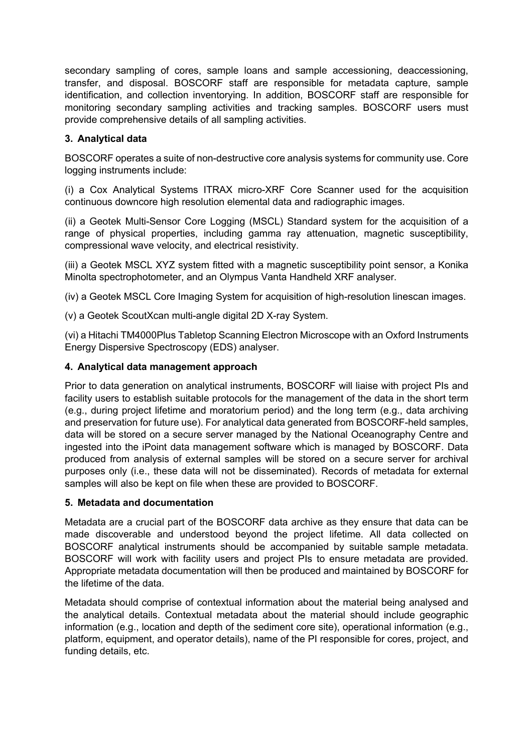secondary sampling of cores, sample loans and sample accessioning, deaccessioning, transfer, and disposal. BOSCORF staff are responsible for metadata capture, sample identification, and collection inventorying. In addition, BOSCORF staff are responsible for monitoring secondary sampling activities and tracking samples. BOSCORF users must provide comprehensive details of all sampling activities.

# **3. Analytical data**

BOSCORF operates a suite of non-destructive core analysis systems for community use. Core logging instruments include:

(i) a Cox Analytical Systems ITRAX micro-XRF Core Scanner used for the acquisition continuous downcore high resolution elemental data and radiographic images.

(ii) a Geotek Multi-Sensor Core Logging (MSCL) Standard system for the acquisition of a range of physical properties, including gamma ray attenuation, magnetic susceptibility, compressional wave velocity, and electrical resistivity.

(iii) a Geotek MSCL XYZ system fitted with a magnetic susceptibility point sensor, a Konika Minolta spectrophotometer, and an Olympus Vanta Handheld XRF analyser.

(iv) a Geotek MSCL Core Imaging System for acquisition of high-resolution linescan images.

(v) a Geotek ScoutXcan multi-angle digital 2D X-ray System.

(vi) a Hitachi TM4000Plus Tabletop Scanning Electron Microscope with an Oxford Instruments Energy Dispersive Spectroscopy (EDS) analyser.

#### **4. Analytical data management approach**

Prior to data generation on analytical instruments, BOSCORF will liaise with project PIs and facility users to establish suitable protocols for the management of the data in the short term (e.g., during project lifetime and moratorium period) and the long term (e.g., data archiving and preservation for future use). For analytical data generated from BOSCORF-held samples, data will be stored on a secure server managed by the National Oceanography Centre and ingested into the iPoint data management software which is managed by BOSCORF. Data produced from analysis of external samples will be stored on a secure server for archival purposes only (i.e., these data will not be disseminated). Records of metadata for external samples will also be kept on file when these are provided to BOSCORF.

## **5. Metadata and documentation**

Metadata are a crucial part of the BOSCORF data archive as they ensure that data can be made discoverable and understood beyond the project lifetime. All data collected on BOSCORF analytical instruments should be accompanied by suitable sample metadata. BOSCORF will work with facility users and project PIs to ensure metadata are provided. Appropriate metadata documentation will then be produced and maintained by BOSCORF for the lifetime of the data.

Metadata should comprise of contextual information about the material being analysed and the analytical details. Contextual metadata about the material should include geographic information (e.g., location and depth of the sediment core site), operational information (e.g., platform, equipment, and operator details), name of the PI responsible for cores, project, and funding details, etc.